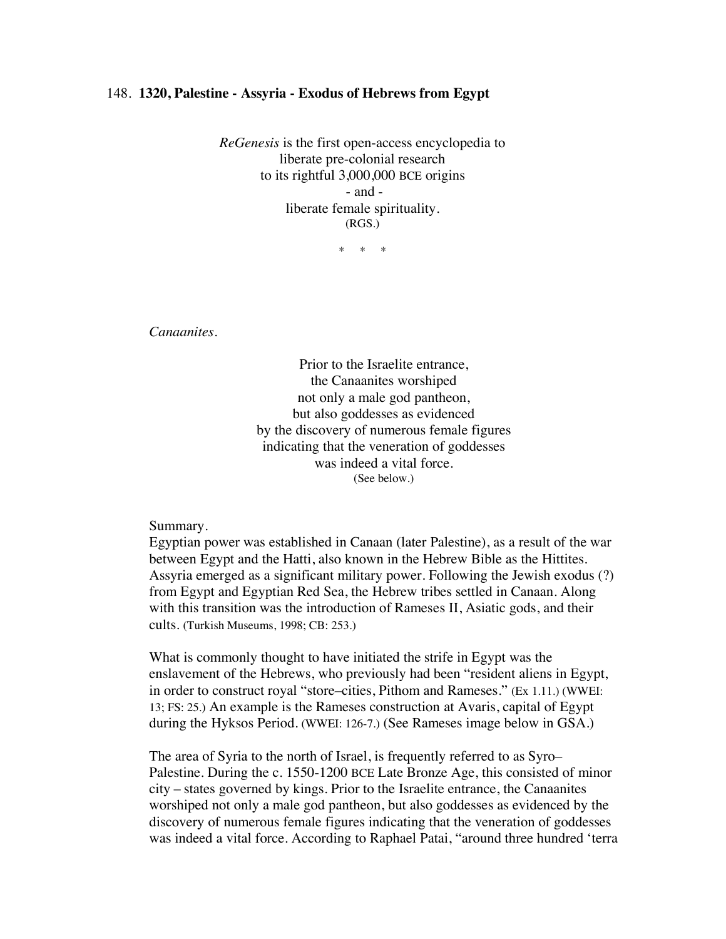## 148. **1320, Palestine - Assyria - Exodus of Hebrews from Egypt**

*ReGenesis* is the first open-access encyclopedia to liberate pre-colonial research to its rightful 3,000,000 BCE origins - and liberate female spirituality. (RGS.)

\* \* \*

*Canaanites.*

Prior to the Israelite entrance, the Canaanites worshiped not only a male god pantheon, but also goddesses as evidenced by the discovery of numerous female figures indicating that the veneration of goddesses was indeed a vital force. (See below.)

Summary.

Egyptian power was established in Canaan (later Palestine), as a result of the war between Egypt and the Hatti, also known in the Hebrew Bible as the Hittites. Assyria emerged as a significant military power. Following the Jewish exodus (?) from Egypt and Egyptian Red Sea, the Hebrew tribes settled in Canaan. Along with this transition was the introduction of Rameses II, Asiatic gods, and their cults. (Turkish Museums, 1998; CB: 253.)

What is commonly thought to have initiated the strife in Egypt was the enslavement of the Hebrews, who previously had been "resident aliens in Egypt, in order to construct royal "store–cities, Pithom and Rameses." (Ex 1.11.) (WWEI: 13; FS: 25.) An example is the Rameses construction at Avaris, capital of Egypt during the Hyksos Period. (WWEI: 126-7.) (See Rameses image below in GSA.)

The area of Syria to the north of Israel, is frequently referred to as Syro– Palestine. During the c. 1550-1200 BCE Late Bronze Age, this consisted of minor city – states governed by kings. Prior to the Israelite entrance, the Canaanites worshiped not only a male god pantheon, but also goddesses as evidenced by the discovery of numerous female figures indicating that the veneration of goddesses was indeed a vital force. According to Raphael Patai, "around three hundred 'terra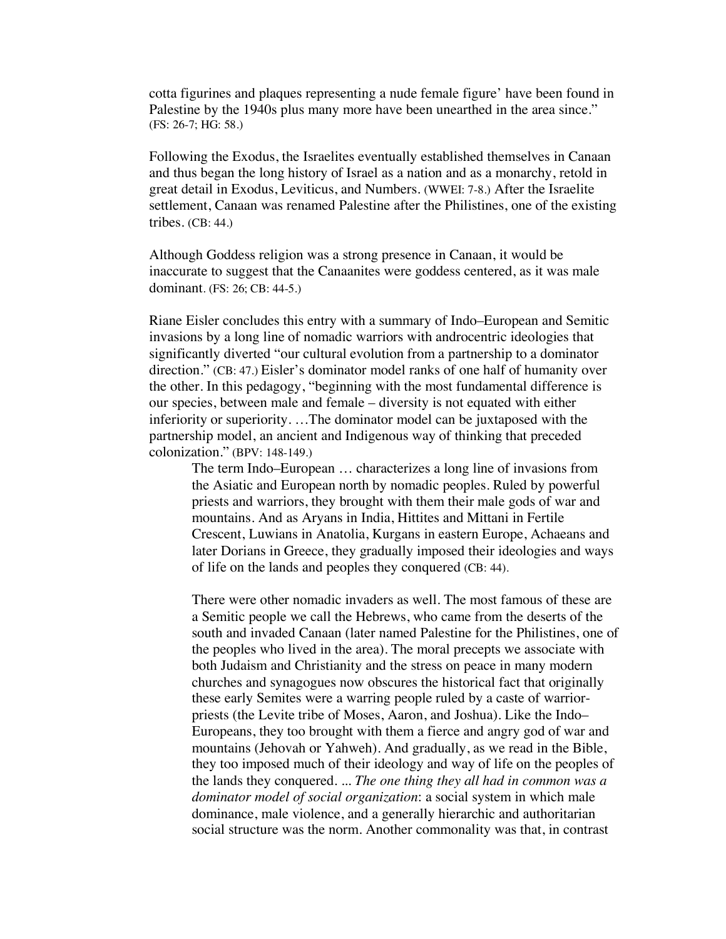cotta figurines and plaques representing a nude female figure' have been found in Palestine by the 1940s plus many more have been unearthed in the area since." (FS: 26-7; HG: 58.)

Following the Exodus, the Israelites eventually established themselves in Canaan and thus began the long history of Israel as a nation and as a monarchy, retold in great detail in Exodus, Leviticus, and Numbers. (WWEI: 7-8.) After the Israelite settlement, Canaan was renamed Palestine after the Philistines, one of the existing tribes. (CB: 44.)

Although Goddess religion was a strong presence in Canaan, it would be inaccurate to suggest that the Canaanites were goddess centered, as it was male dominant. (FS: 26; CB: 44-5.)

Riane Eisler concludes this entry with a summary of Indo–European and Semitic invasions by a long line of nomadic warriors with androcentric ideologies that significantly diverted "our cultural evolution from a partnership to a dominator direction." (CB: 47.) Eisler's dominator model ranks of one half of humanity over the other. In this pedagogy, "beginning with the most fundamental difference is our species, between male and female – diversity is not equated with either inferiority or superiority. …The dominator model can be juxtaposed with the partnership model, an ancient and Indigenous way of thinking that preceded colonization." (BPV: 148-149.)

The term Indo–European … characterizes a long line of invasions from the Asiatic and European north by nomadic peoples. Ruled by powerful priests and warriors, they brought with them their male gods of war and mountains. And as Aryans in India, Hittites and Mittani in Fertile Crescent, Luwians in Anatolia, Kurgans in eastern Europe, Achaeans and later Dorians in Greece, they gradually imposed their ideologies and ways of life on the lands and peoples they conquered (CB: 44).

There were other nomadic invaders as well. The most famous of these are a Semitic people we call the Hebrews, who came from the deserts of the south and invaded Canaan (later named Palestine for the Philistines, one of the peoples who lived in the area). The moral precepts we associate with both Judaism and Christianity and the stress on peace in many modern churches and synagogues now obscures the historical fact that originally these early Semites were a warring people ruled by a caste of warriorpriests (the Levite tribe of Moses, Aaron, and Joshua). Like the Indo– Europeans, they too brought with them a fierce and angry god of war and mountains (Jehovah or Yahweh). And gradually, as we read in the Bible, they too imposed much of their ideology and way of life on the peoples of the lands they conquered. ... *The one thing they all had in common was a dominator model of social organization*: a social system in which male dominance, male violence, and a generally hierarchic and authoritarian social structure was the norm. Another commonality was that, in contrast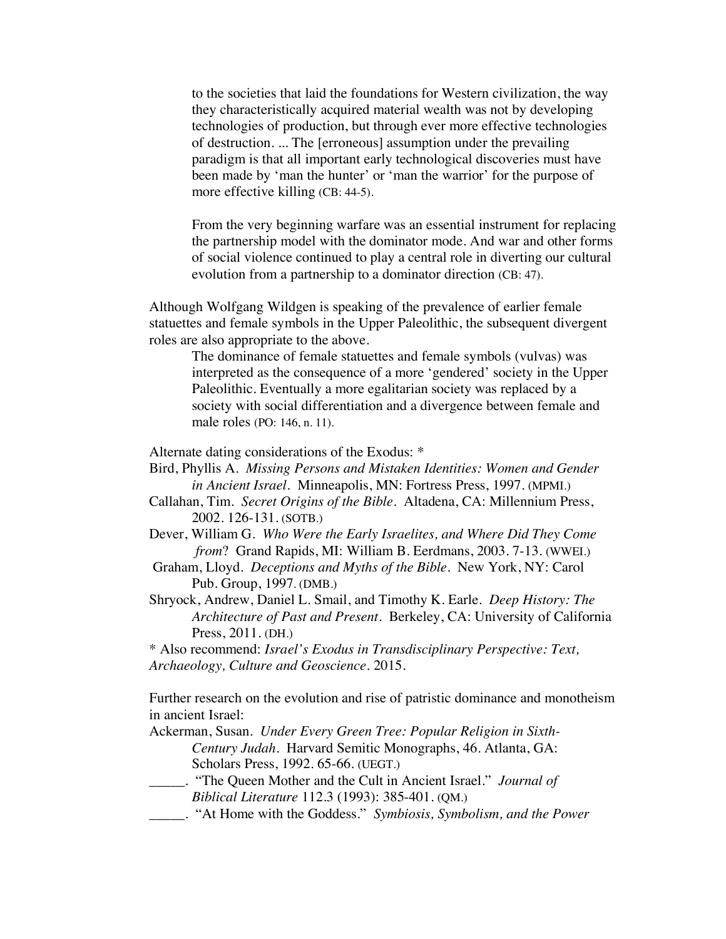to the societies that laid the foundations for Western civilization, the way they characteristically acquired material wealth was not by developing technologies of production, but through ever more effective technologies of destruction. ... The [erroneous] assumption under the prevailing paradigm is that all important early technological discoveries must have been made by 'man the hunter' or 'man the warrior' for the purpose of more effective killing (CB: 44-5).

From the very beginning warfare was an essential instrument for replacing the partnership model with the dominator mode. And war and other forms of social violence continued to play a central role in diverting our cultural evolution from a partnership to a dominator direction (CB: 47).

Although Wolfgang Wildgen is speaking of the prevalence of earlier female statuettes and female symbols in the Upper Paleolithic, the subsequent divergent roles are also appropriate to the above.

The dominance of female statuettes and female symbols (vulvas) was interpreted as the consequence of a more 'gendered' society in the Upper Paleolithic. Eventually a more egalitarian society was replaced by a society with social differentiation and a divergence between female and male roles (PO: 146, n. 11).

Alternate dating considerations of the Exodus: \*

- Bird, Phyllis A. *Missing Persons and Mistaken Identities: Women and Gender in Ancient Israel.* Minneapolis, MN: Fortress Press, 1997. (MPMI.)
- Callahan, Tim. *Secret Origins of the Bible.* Altadena, CA: Millennium Press, 2002. 126-131. (SOTB.)
- Dever, William G. *Who Were the Early Israelites, and Where Did They Come from*? Grand Rapids, MI: William B. Eerdmans, 2003. 7-13. (WWEI.)
- Graham, Lloyd. *Deceptions and Myths of the Bible*. New York, NY: Carol Pub. Group, 1997. (DMB.)
- Shryock, Andrew, Daniel L. Smail, and Timothy K. Earle. *Deep History: The Architecture of Past and Present*. Berkeley, CA: University of California Press, 2011. (DH.)

\* Also recommend: *Israel's Exodus in Transdisciplinary Perspective: Text, Archaeology, Culture and Geoscience.* 2015.

Further research on the evolution and rise of patristic dominance and monotheism in ancient Israel:

Ackerman, Susan. *Under Every Green Tree: Popular Religion in Sixth-Century Judah*. Harvard Semitic Monographs, 46. Atlanta, GA: Scholars Press, 1992. 65-66. (UEGT.)

- \_\_\_\_\_. "The Queen Mother and the Cult in Ancient Israel." *Journal of Biblical Literature* 112.3 (1993): 385-401. (QM.)
- \_\_\_\_\_. "At Home with the Goddess." *Symbiosis, Symbolism, and the Power*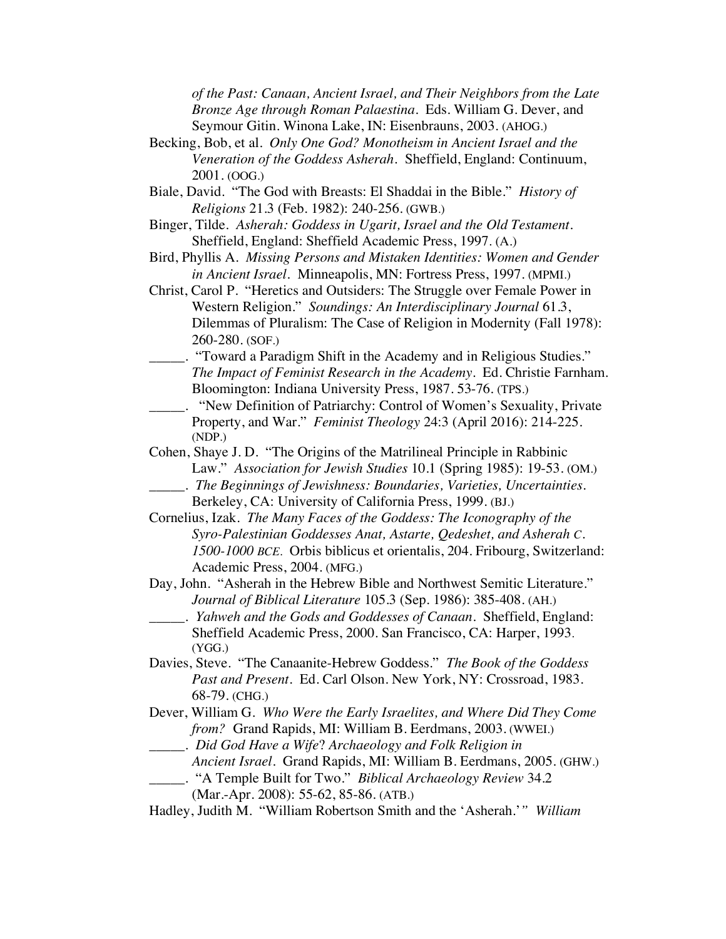*of the Past: Canaan, Ancient Israel, and Their Neighbors from the Late Bronze Age through Roman Palaestina.* Eds. William G. Dever, and Seymour Gitin. Winona Lake, IN: Eisenbrauns, 2003. (AHOG.)

- Becking, Bob, et al. *Only One God? Monotheism in Ancient Israel and the Veneration of the Goddess Asherah.* Sheffield, England: Continuum, 2001. (OOG.)
- Biale, David. "The God with Breasts: El Shaddai in the Bible." *History of Religions* 21.3 (Feb. 1982): 240-256. (GWB.)
- Binger, Tilde. *Asherah: Goddess in Ugarit, Israel and the Old Testament.* Sheffield, England: Sheffield Academic Press, 1997. (A.)
- Bird, Phyllis A. *Missing Persons and Mistaken Identities: Women and Gender in Ancient Israel.* Minneapolis, MN: Fortress Press, 1997. (MPMI.)
- Christ, Carol P. "Heretics and Outsiders: The Struggle over Female Power in Western Religion." *Soundings: An Interdisciplinary Journal* 61.3, Dilemmas of Pluralism: The Case of Religion in Modernity (Fall 1978): 260-280. (SOF.)
- \_\_\_\_\_. "Toward a Paradigm Shift in the Academy and in Religious Studies." *The Impact of Feminist Research in the Academy*. Ed. Christie Farnham. Bloomington: Indiana University Press, 1987. 53-76. (TPS.)
- \_\_\_\_\_. "New Definition of Patriarchy: Control of Women's Sexuality, Private Property, and War." *Feminist Theology* 24:3 (April 2016): 214-225. (NDP.)
- Cohen, Shaye J. D. "The Origins of the Matrilineal Principle in Rabbinic Law." *Association for Jewish Studies* 10.1 (Spring 1985): 19-53. (OM.) \_\_\_\_\_. *The Beginnings of Jewishness: Boundaries, Varieties, Uncertainties.*
- Berkeley, CA: University of California Press, 1999. (BJ.)
- Cornelius, Izak. *The Many Faces of the Goddess: The Iconography of the Syro-Palestinian Goddesses Anat, Astarte, Qedeshet, and Asherah C. 1500-1000 BCE.* Orbis biblicus et orientalis, 204. Fribourg, Switzerland: Academic Press, 2004. (MFG.)
- Day, John. "Asherah in the Hebrew Bible and Northwest Semitic Literature." *Journal of Biblical Literature* 105.3 (Sep. 1986): 385-408. (AH.)
	- \_\_\_\_\_. *Yahweh and the Gods and Goddesses of Canaan*. Sheffield, England: Sheffield Academic Press, 2000. San Francisco, CA: Harper, 1993. (YGG.)
- Davies, Steve. "The Canaanite-Hebrew Goddess." *The Book of the Goddess Past and Present*. Ed. Carl Olson. New York, NY: Crossroad, 1983. 68-79. (CHG.)
- Dever, William G. *Who Were the Early Israelites, and Where Did They Come from?* Grand Rapids, MI: William B. Eerdmans, 2003. (WWEI.)
- \_\_\_\_\_. *Did God Have a Wife*? *Archaeology and Folk Religion in*
	- *Ancient Israel.* Grand Rapids, MI: William B. Eerdmans, 2005. (GHW.) \_\_\_\_\_. "A Temple Built for Two." *Biblical Archaeology Review* 34.2
		- (Mar.-Apr. 2008): 55-62, 85-86. (ATB.)
- Hadley, Judith M. "William Robertson Smith and the 'Asherah.'*" William*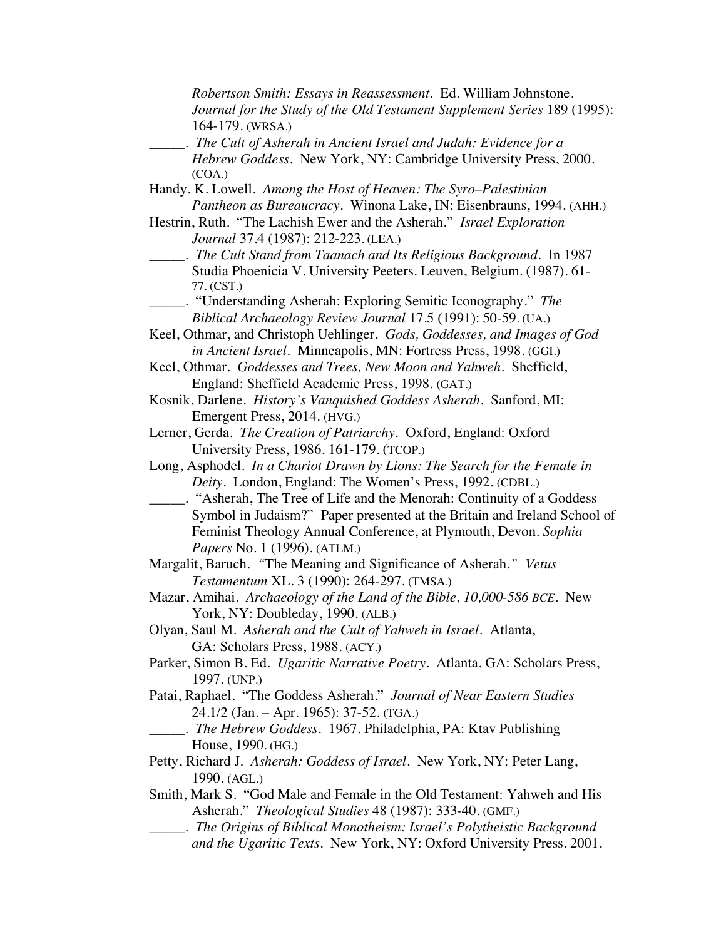*Robertson Smith: Essays in Reassessment*. Ed. William Johnstone. *Journal for the Study of the Old Testament Supplement Series* 189 (1995): 164-179. (WRSA.)

- \_\_\_\_\_. *The Cult of Asherah in Ancient Israel and Judah: Evidence for a Hebrew Goddess*. New York, NY: Cambridge University Press, 2000. (COA.)
- Handy, K. Lowell. *Among the Host of Heaven: The Syro*–*Palestinian Pantheon as Bureaucracy*. Winona Lake, IN: Eisenbrauns, 1994. (AHH.)
- Hestrin, Ruth. "The Lachish Ewer and the Asherah." *Israel Exploration Journal* 37.4 (1987): 212-223. (LEA.)
	- \_\_\_\_\_. *The Cult Stand from Taanach and Its Religious Background*. In 1987 Studia Phoenicia V. University Peeters. Leuven, Belgium. (1987). 61- 77. (CST.)
		- \_\_\_\_\_. "Understanding Asherah: Exploring Semitic Iconography." *The Biblical Archaeology Review Journal* 17.5 (1991): 50-59. (UA.)
- Keel, Othmar, and Christoph Uehlinger. *Gods, Goddesses, and Images of God in Ancient Israel.* Minneapolis, MN: Fortress Press, 1998. (GGI.)
- Keel, Othmar. *Goddesses and Trees, New Moon and Yahweh*. Sheffield, England: Sheffield Academic Press, 1998. (GAT.)
- Kosnik, Darlene. *History's Vanquished Goddess Asherah*. Sanford, MI: Emergent Press, 2014. (HVG.)
- Lerner, Gerda. *The Creation of Patriarchy.* Oxford, England: Oxford University Press, 1986. 161-179. (TCOP.)
- Long, Asphodel. *In a Chariot Drawn by Lions: The Search for the Female in Deity.* London, England: The Women's Press, 1992. (CDBL.)
- \_\_\_\_\_. "Asherah, The Tree of Life and the Menorah: Continuity of a Goddess Symbol in Judaism?" Paper presented at the Britain and Ireland School of Feminist Theology Annual Conference, at Plymouth, Devon. *Sophia Papers* No. 1 (1996). (ATLM.)
- Margalit, Baruch. *"*The Meaning and Significance of Asherah.*" Vetus Testamentum* XL. 3 (1990): 264-297. (TMSA.)
- Mazar, Amihai. *Archaeology of the Land of the Bible, 10,000-586 BCE.* New York, NY: Doubleday, 1990. (ALB.)
- Olyan, Saul M. *Asherah and the Cult of Yahweh in Israel.* Atlanta, GA: Scholars Press, 1988. (ACY.)
- Parker, Simon B. Ed. *Ugaritic Narrative Poetry.* Atlanta, GA: Scholars Press, 1997. (UNP.)
- Patai, Raphael. "The Goddess Asherah." *Journal of Near Eastern Studies* 24.1/2 (Jan. – Apr. 1965): 37-52. (TGA.)
	- \_\_\_\_\_. *The Hebrew Goddess.* 1967. Philadelphia, PA: Ktav Publishing House, 1990. (HG.)
- Petty, Richard J*. Asherah: Goddess of Israel*. New York, NY: Peter Lang, 1990. (AGL.)
- Smith, Mark S. "God Male and Female in the Old Testament: Yahweh and His Asherah." *Theological Studies* 48 (1987): 333-40. (GMF.)
- \_\_\_\_\_. *The Origins of Biblical Monotheism: Israel's Polytheistic Background and the Ugaritic Texts.* New York, NY: Oxford University Press. 2001.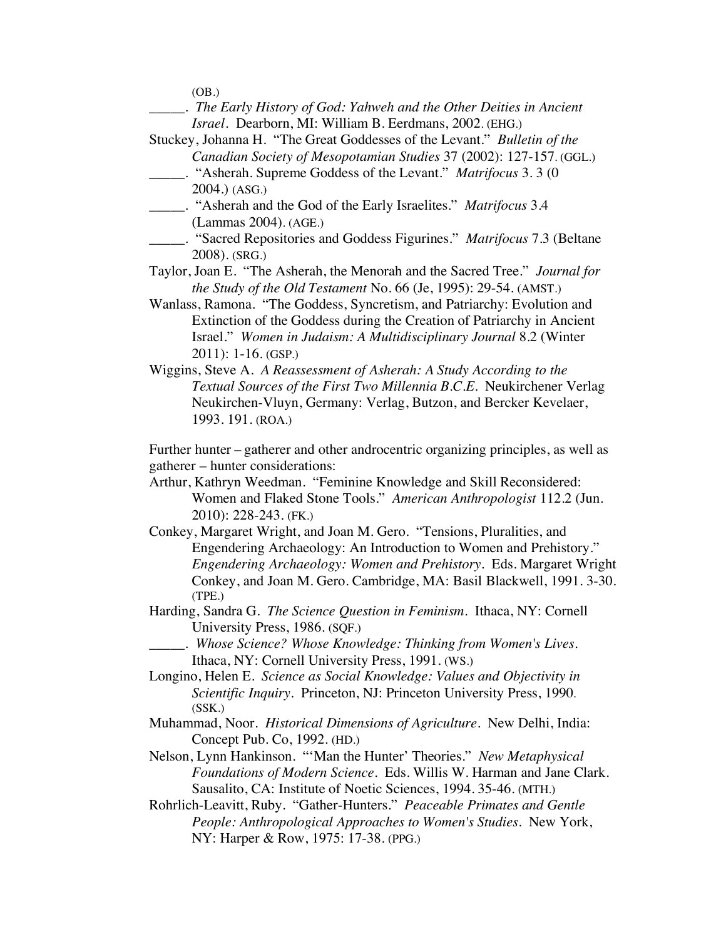| (OB.)                                                                              |
|------------------------------------------------------------------------------------|
| . The Early History of God: Yahweh and the Other Deities in Ancient                |
| Israel. Dearborn, MI: William B. Eerdmans, 2002. (EHG.)                            |
| Stuckey, Johanna H. "The Great Goddesses of the Levant." Bulletin of the           |
| Canadian Society of Mesopotamian Studies 37 (2002): 127-157. (GGL.)                |
|                                                                                    |
| 2004.) (ASG.)                                                                      |
|                                                                                    |
| (Lammas 2004). (AGE.)                                                              |
| ____. "Sacred Repositories and Goddess Figurines." <i>Matrifocus</i> 7.3 (Beltane  |
| 2008). (SRG.)                                                                      |
| Taylor, Joan E. "The Asherah, the Menorah and the Sacred Tree." Journal for        |
| the Study of the Old Testament No. 66 (Je, 1995): 29-54. (AMST.)                   |
| Wanlass, Ramona. "The Goddess, Syncretism, and Patriarchy: Evolution and           |
| Extinction of the Goddess during the Creation of Patriarchy in Ancient             |
| Israel." Women in Judaism: A Multidisciplinary Journal 8.2 (Winter                 |
| $2011$ : 1-16. (GSP.)                                                              |
| Wiggins, Steve A. A Reassessment of Asherah: A Study According to the              |
| Textual Sources of the First Two Millennia B.C.E. Neukirchener Verlag              |
| Neukirchen-Vluyn, Germany: Verlag, Butzon, and Bercker Kevelaer,                   |
| 1993. 191. (ROA.)                                                                  |
|                                                                                    |
| Further hunter - gatherer and other androcentric organizing principles, as well as |
| gatherer – hunter considerations:                                                  |
| Arthur, Kathryn Weedman. "Feminine Knowledge and Skill Reconsidered:               |
| Women and Flaked Stone Tools." American Anthropologist 112.2 (Jun.                 |
| 2010): 228-243. (FK.)                                                              |
| Conkey, Margaret Wright, and Joan M. Gero. "Tensions, Pluralities, and             |
| Engendering Archaeology: An Introduction to Women and Prehistory."                 |
| Engendering Archaeology: Women and Prehistory. Eds. Margaret Wright                |
| Conkey, and Joan M. Gero. Cambridge, MA: Basil Blackwell, 1991. 3-30.              |
| (TPE.)                                                                             |
| Harding, Sandra G. The Science Question in Feminism. Ithaca, NY: Cornell           |
| University Press, 1986. (SQF.)                                                     |
| . Whose Science? Whose Knowledge: Thinking from Women's Lives.                     |
| Ithaca, NY: Cornell University Press, 1991. (WS.)                                  |
| Longino, Helen E. Science as Social Knowledge: Values and Objectivity in           |
| Scientific Inquiry. Princeton, NJ: Princeton University Press, 1990.               |
| (SSK.)                                                                             |
| Muhammad, Noor. Historical Dimensions of Agriculture. New Delhi, India:            |
| Concept Pub. Co, 1992. (HD.)                                                       |
| Nelson, Lynn Hankinson. "'Man the Hunter' Theories." New Metaphysical              |
| Foundations of Modern Science. Eds. Willis W. Harman and Jane Clark.               |
| Sausalito, CA: Institute of Noetic Sciences, 1994. 35-46. (MTH.)                   |
| Rohrlich-Leavitt, Ruby. "Gather-Hunters." Peaceable Primates and Gentle            |
| People: Anthropological Approaches to Women's Studies. New York,                   |
| NY: Harper & Row, 1975: 17-38. (PPG.)                                              |
|                                                                                    |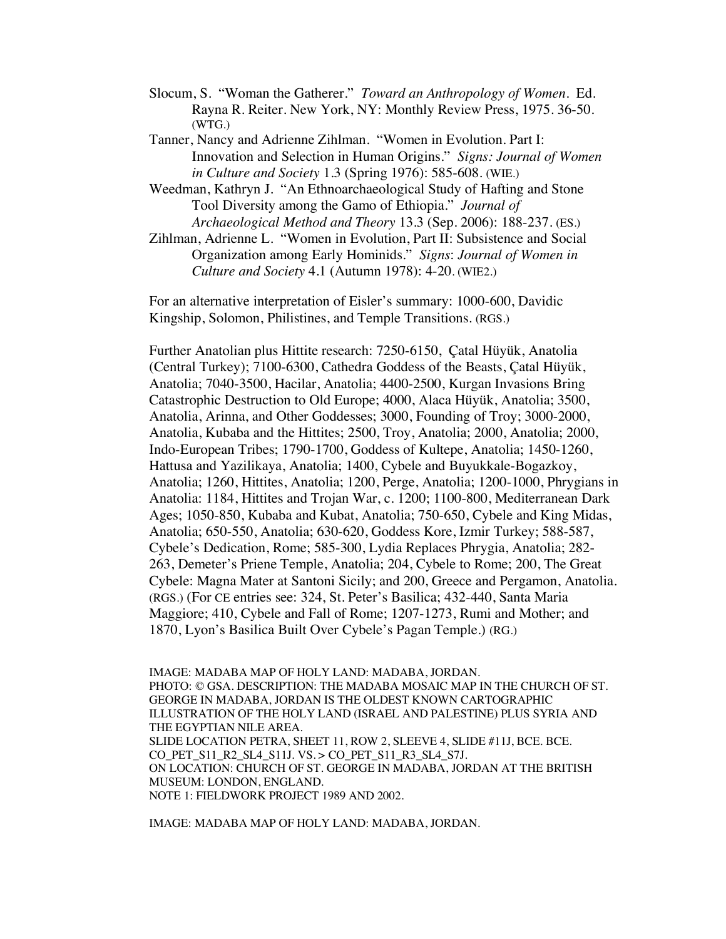- Slocum, S. "Woman the Gatherer." *Toward an Anthropology of Women*. Ed. Rayna R. Reiter. New York, NY: Monthly Review Press, 1975. 36-50. (WTG.)
- Tanner, Nancy and Adrienne Zihlman. "Women in Evolution. Part I: Innovation and Selection in Human Origins." *Signs: Journal of Women in Culture and Society* 1.3 (Spring 1976): 585-608. (WIE.)
- Weedman, Kathryn J. "An Ethnoarchaeological Study of Hafting and Stone Tool Diversity among the Gamo of Ethiopia." *Journal of Archaeological Method and Theory* 13.3 (Sep. 2006): 188-237. (ES.)
- Zihlman, Adrienne L. "Women in Evolution, Part II: Subsistence and Social Organization among Early Hominids." *Signs*: *Journal of Women in Culture and Society* 4.1 (Autumn 1978): 4-20. (WIE2.)

For an alternative interpretation of Eisler's summary: 1000-600, Davidic Kingship, Solomon, Philistines, and Temple Transitions. (RGS.)

Further Anatolian plus Hittite research: 7250-6150, Çatal Hüyük, Anatolia (Central Turkey); 7100-6300, Cathedra Goddess of the Beasts, Çatal Hüyük, Anatolia; 7040-3500, Hacilar, Anatolia; 4400-2500, Kurgan Invasions Bring Catastrophic Destruction to Old Europe; 4000, Alaca Hüyük, Anatolia; 3500, Anatolia, Arinna, and Other Goddesses; 3000, Founding of Troy; 3000-2000, Anatolia, Kubaba and the Hittites; 2500, Troy, Anatolia; 2000, Anatolia; 2000, Indo-European Tribes; 1790-1700, Goddess of Kultepe, Anatolia; 1450-1260, Hattusa and Yazilikaya, Anatolia; 1400, Cybele and Buyukkale-Bogazkoy, Anatolia; 1260, Hittites, Anatolia; 1200, Perge, Anatolia; 1200-1000, Phrygians in Anatolia: 1184, Hittites and Trojan War, c. 1200; 1100-800, Mediterranean Dark Ages; 1050-850, Kubaba and Kubat, Anatolia; 750-650, Cybele and King Midas, Anatolia; 650-550, Anatolia; 630-620, Goddess Kore, Izmir Turkey; 588-587, Cybele's Dedication, Rome; 585-300, Lydia Replaces Phrygia, Anatolia; 282- 263, Demeter's Priene Temple, Anatolia; 204, Cybele to Rome; 200, The Great Cybele: Magna Mater at Santoni Sicily; and 200, Greece and Pergamon, Anatolia. (RGS.) (For CE entries see: 324, St. Peter's Basilica; 432-440, Santa Maria Maggiore; 410, Cybele and Fall of Rome; 1207-1273, Rumi and Mother; and 1870, Lyon's Basilica Built Over Cybele's Pagan Temple.) (RG.)

IMAGE: MADABA MAP OF HOLY LAND: MADABA, JORDAN. PHOTO: © GSA. DESCRIPTION: THE MADABA MOSAIC MAP IN THE CHURCH OF ST. GEORGE IN MADABA, JORDAN IS THE OLDEST KNOWN CARTOGRAPHIC ILLUSTRATION OF THE HOLY LAND (ISRAEL AND PALESTINE) PLUS SYRIA AND THE EGYPTIAN NILE AREA. SLIDE LOCATION PETRA, SHEET 11, ROW 2, SLEEVE 4, SLIDE #11J, BCE. BCE. CO\_PET\_S11\_R2\_SL4\_S11J. VS. > CO\_PET\_S11\_R3\_SL4\_S7J. ON LOCATION: CHURCH OF ST. GEORGE IN MADABA, JORDAN AT THE BRITISH MUSEUM: LONDON, ENGLAND. NOTE 1: FIELDWORK PROJECT 1989 AND 2002.

IMAGE: MADABA MAP OF HOLY LAND: MADABA, JORDAN.